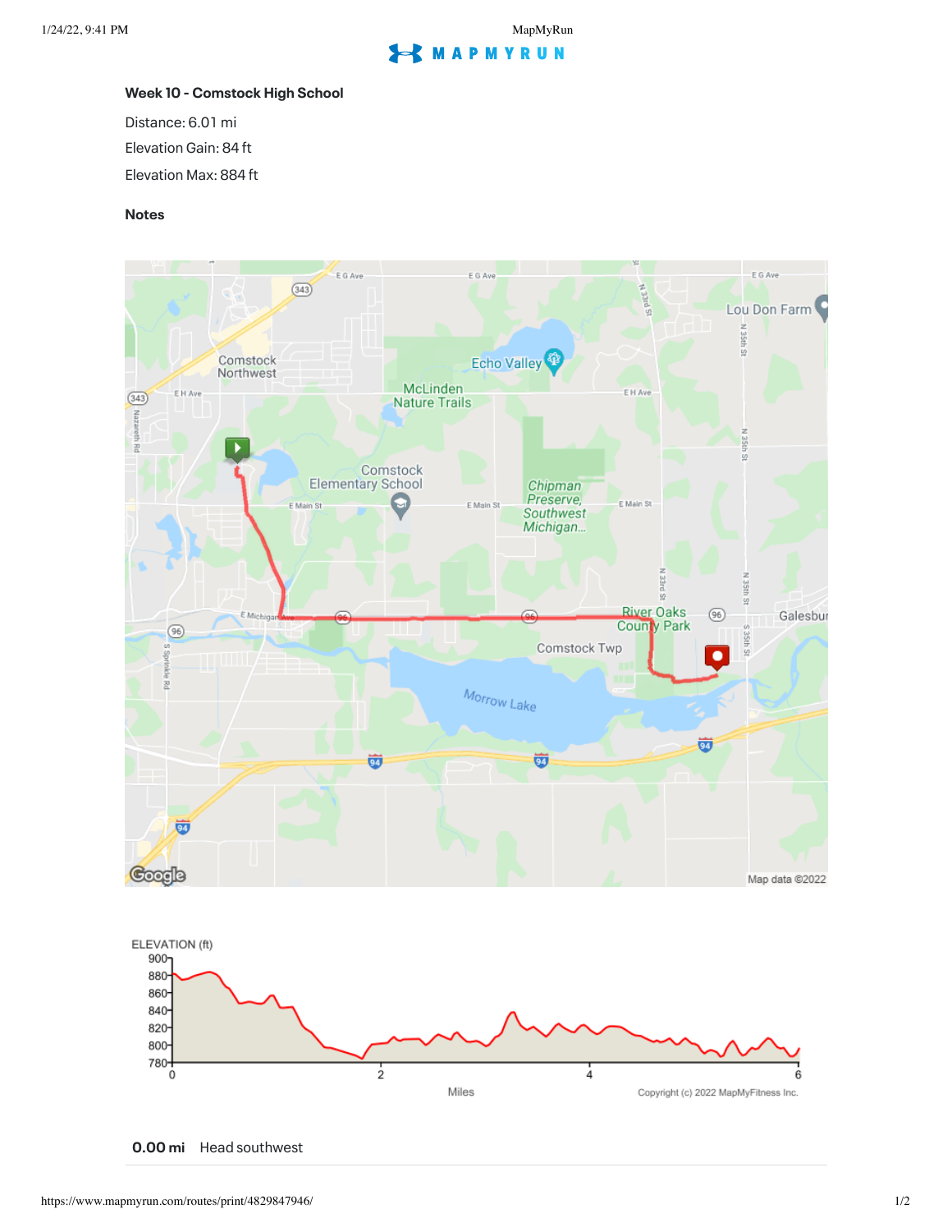## **EXMAPMYRUN**

## **Week 10 - Comstock High School**

Distance: 6.01 mi

Elevation Gain: 84 ft

Elevation Max: 884 ft

## **Notes**



**0.00 mi** Head southwest